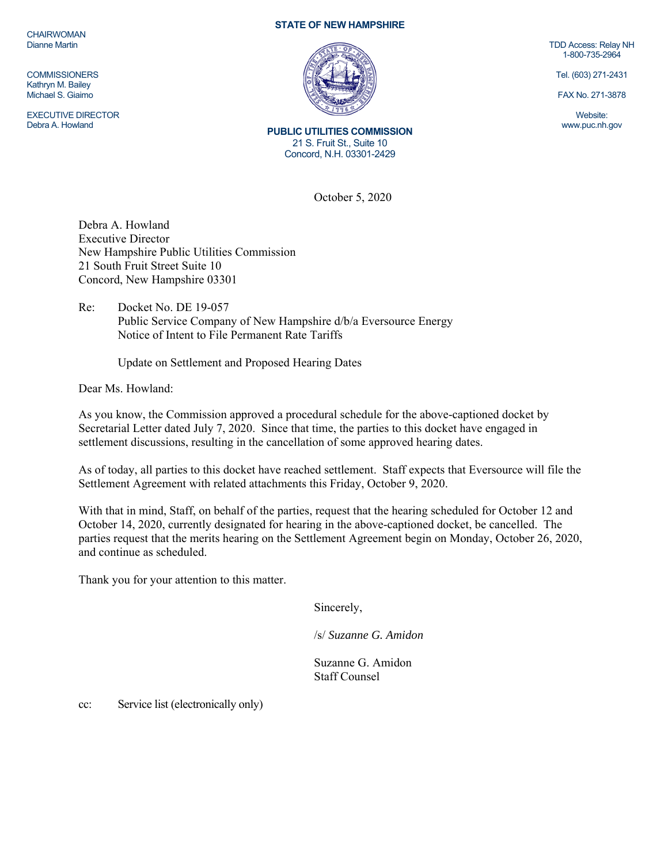**CHAIRWOMAN** Dianne Martin

**COMMISSIONERS** Kathryn M. Bailey Michael S. Giaimo

EXECUTIVE DIRECTOR Debra A. Howland

## **STATE OF NEW HAMPSHIRE**



**PUBLIC UTILITIES COMMISSION**  21 S. Fruit St., Suite 10 Concord, N.H. 03301-2429

October 5, 2020

Debra A. Howland Executive Director New Hampshire Public Utilities Commission 21 South Fruit Street Suite 10 Concord, New Hampshire 03301

Re: Docket No. DE 19-057 Public Service Company of New Hampshire d/b/a Eversource Energy Notice of Intent to File Permanent Rate Tariffs

Update on Settlement and Proposed Hearing Dates

Dear Ms. Howland:

As you know, the Commission approved a procedural schedule for the above-captioned docket by Secretarial Letter dated July 7, 2020. Since that time, the parties to this docket have engaged in settlement discussions, resulting in the cancellation of some approved hearing dates.

As of today, all parties to this docket have reached settlement. Staff expects that Eversource will file the Settlement Agreement with related attachments this Friday, October 9, 2020.

With that in mind, Staff, on behalf of the parties, request that the hearing scheduled for October 12 and October 14, 2020, currently designated for hearing in the above-captioned docket, be cancelled. The parties request that the merits hearing on the Settlement Agreement begin on Monday, October 26, 2020, and continue as scheduled.

Thank you for your attention to this matter.

Sincerely,

/s/ *Suzanne G. Amidon* 

Suzanne G. Amidon Staff Counsel

cc: Service list (electronically only)

TDD Access: Relay NH 1-800-735-2964

Tel. (603) 271-2431

FAX No. 271-3878

Website: www.puc.nh.gov